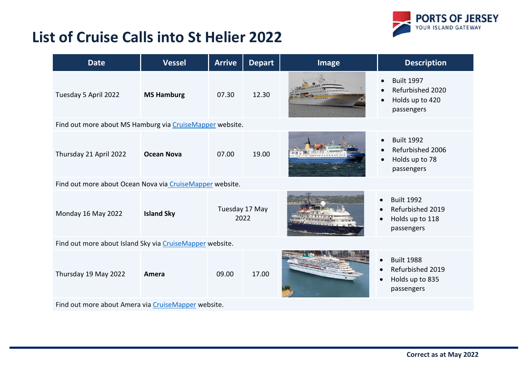## **List of Cruise Calls into St Helier 2022**



| <b>Date</b>                                              | <b>Vessel</b>     | <b>Arrive</b>          | <b>Depart</b> | <b>Image</b> | <b>Description</b>                                                                                            |  |  |  |
|----------------------------------------------------------|-------------------|------------------------|---------------|--------------|---------------------------------------------------------------------------------------------------------------|--|--|--|
| Tuesday 5 April 2022                                     | <b>MS Hamburg</b> | 07.30                  | 12.30         |              | <b>Built 1997</b><br>$\bullet$<br>Refurbished 2020<br>$\bullet$<br>Holds up to 420<br>$\bullet$<br>passengers |  |  |  |
| Find out more about MS Hamburg via CruiseMapper website. |                   |                        |               |              |                                                                                                               |  |  |  |
| Thursday 21 April 2022                                   | <b>Ocean Nova</b> | 07.00                  | 19.00         |              | <b>Built 1992</b><br>$\bullet$<br>Refurbished 2006<br>$\bullet$<br>Holds up to 78<br>$\bullet$<br>passengers  |  |  |  |
| Find out more about Ocean Nova via CruiseMapper website. |                   |                        |               |              |                                                                                                               |  |  |  |
| Monday 16 May 2022                                       | <b>Island Sky</b> | Tuesday 17 May<br>2022 |               |              | <b>Built 1992</b><br>$\bullet$<br>Refurbished 2019<br>Holds up to 118<br>$\bullet$<br>passengers              |  |  |  |
| Find out more about Island Sky via CruiseMapper website. |                   |                        |               |              |                                                                                                               |  |  |  |
| Thursday 19 May 2022                                     | Amera             | 09.00                  | 17.00         |              | <b>Built 1988</b><br>$\bullet$<br>Refurbished 2019<br>Holds up to 835<br>passengers                           |  |  |  |
| Find out more about Amera via CruiseMapper website.      |                   |                        |               |              |                                                                                                               |  |  |  |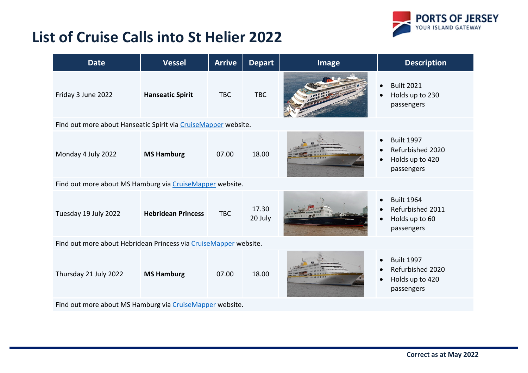

## **List of Cruise Calls into St Helier 2022**

| <b>Date</b>                                                      | <b>Vessel</b>             | <b>Arrive</b> | <b>Depart</b>    | <b>Image</b> | <b>Description</b>                                                                              |  |
|------------------------------------------------------------------|---------------------------|---------------|------------------|--------------|-------------------------------------------------------------------------------------------------|--|
| Friday 3 June 2022                                               | <b>Hanseatic Spirit</b>   | <b>TBC</b>    | <b>TBC</b>       |              | <b>Built 2021</b><br>$\bullet$<br>Holds up to 230<br>$\bullet$<br>passengers                    |  |
| Find out more about Hanseatic Spirit via CruiseMapper website.   |                           |               |                  |              |                                                                                                 |  |
| Monday 4 July 2022                                               | <b>MS Hamburg</b>         | 07.00         | 18.00            |              | <b>Built 1997</b><br>Refurbished 2020<br>Holds up to 420<br>$\bullet$<br>passengers             |  |
| Find out more about MS Hamburg via CruiseMapper website.         |                           |               |                  |              |                                                                                                 |  |
| Tuesday 19 July 2022                                             | <b>Hebridean Princess</b> | <b>TBC</b>    | 17.30<br>20 July |              | <b>Built 1964</b><br>$\bullet$<br>Refurbished 2011<br>Holds up to 60<br>$\bullet$<br>passengers |  |
| Find out more about Hebridean Princess via CruiseMapper website. |                           |               |                  |              |                                                                                                 |  |
| Thursday 21 July 2022                                            | <b>MS Hamburg</b>         | 07.00         | 18.00            |              | <b>Built 1997</b><br>Refurbished 2020<br>Holds up to 420<br>$\bullet$<br>passengers             |  |
| Find out more about MS Hamburg via CruiseMapper website.         |                           |               |                  |              |                                                                                                 |  |